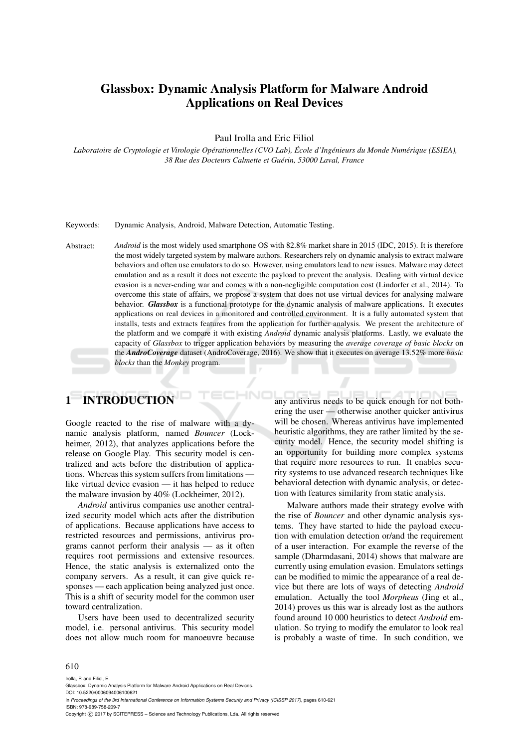# Glassbox: Dynamic Analysis Platform for Malware Android Applications on Real Devices

Paul Irolla and Eric Filiol

*Laboratoire de Cryptologie et Virologie Operationnelles (CVO Lab), ´ Ecole d'Ing ´ enieurs du Monde Num ´ erique (ESIEA), ´ 38 Rue des Docteurs Calmette et Guerin, 53000 Laval, France ´*

Keywords: Dynamic Analysis, Android, Malware Detection, Automatic Testing.

Abstract: *Android* is the most widely used smartphone OS with 82.8% market share in 2015 (IDC, 2015). It is therefore the most widely targeted system by malware authors. Researchers rely on dynamic analysis to extract malware behaviors and often use emulators to do so. However, using emulators lead to new issues. Malware may detect emulation and as a result it does not execute the payload to prevent the analysis. Dealing with virtual device evasion is a never-ending war and comes with a non-negligible computation cost (Lindorfer et al., 2014). To overcome this state of affairs, we propose a system that does not use virtual devices for analysing malware behavior. *Glassbox* is a functional prototype for the dynamic analysis of malware applications. It executes applications on real devices in a monitored and controlled environment. It is a fully automated system that installs, tests and extracts features from the application for further analysis. We present the architecture of the platform and we compare it with existing *Android* dynamic analysis platforms. Lastly, we evaluate the capacity of *Glassbox* to trigger application behaviors by measuring the *average coverage of basic blocks* on the *AndroCoverage* dataset (AndroCoverage, 2016). We show that it executes on average 13.52% more *basic blocks* than the *Monkey* program.

# 1 INTRODUCTION

Google reacted to the rise of malware with a dynamic analysis platform, named *Bouncer* (Lockheimer, 2012), that analyzes applications before the release on Google Play. This security model is centralized and acts before the distribution of applications. Whereas this system suffers from limitations like virtual device evasion — it has helped to reduce the malware invasion by 40% (Lockheimer, 2012).

*Android* antivirus companies use another centralized security model which acts after the distribution of applications. Because applications have access to restricted resources and permissions, antivirus programs cannot perform their analysis — as it often requires root permissions and extensive resources. Hence, the static analysis is externalized onto the company servers. As a result, it can give quick responses — each application being analyzed just once. This is a shift of security model for the common user toward centralization.

Users have been used to decentralized security model, i.e. personal antivirus. This security model does not allow much room for manoeuvre because

any antivirus needs to be quick enough for not bothering the user — otherwise another quicker antivirus will be chosen. Whereas antivirus have implemented heuristic algorithms, they are rather limited by the security model. Hence, the security model shifting is an opportunity for building more complex systems that require more resources to run. It enables security systems to use advanced research techniques like behavioral detection with dynamic analysis, or detection with features similarity from static analysis.

Malware authors made their strategy evolve with the rise of *Bouncer* and other dynamic analysis systems. They have started to hide the payload execution with emulation detection or/and the requirement of a user interaction. For example the reverse of the sample (Dharmdasani, 2014) shows that malware are currently using emulation evasion. Emulators settings can be modified to mimic the appearance of a real device but there are lots of ways of detecting *Android* emulation. Actually the tool *Morpheus* (Jing et al., 2014) proves us this war is already lost as the authors found around 10 000 heuristics to detect *Android* emulation. So trying to modify the emulator to look real is probably a waste of time. In such condition, we

#### 610

Irolla, P. and Filiol, E.

Glassbox: Dynamic Analysis Platform for Malware Android Applications on Real Devices.

DOI: 10.5220/0006094006100621 In *Proceedings of the 3rd International Conference on Information Systems Security and Privacy (ICISSP 2017)*, pages 610-621 ISBN: 978-989-758-209-7

Copyright (C) 2017 by SCITEPRESS - Science and Technology Publications, Lda. All rights reserved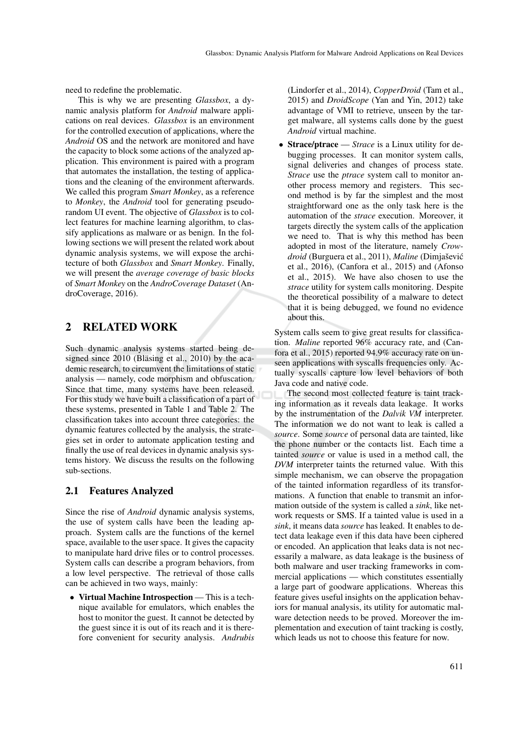need to redefine the problematic.

This is why we are presenting *Glassbox*, a dynamic analysis platform for *Android* malware applications on real devices. *Glassbox* is an environment for the controlled execution of applications, where the *Android* OS and the network are monitored and have the capacity to block some actions of the analyzed application. This environment is paired with a program that automates the installation, the testing of applications and the cleaning of the environment afterwards. We called this program *Smart Monkey*, as a reference to *Monkey*, the *Android* tool for generating pseudorandom UI event. The objective of *Glassbox* is to collect features for machine learning algorithm, to classify applications as malware or as benign. In the following sections we will present the related work about dynamic analysis systems, we will expose the architecture of both *Glassbox* and *Smart Monkey*. Finally, we will present the *average coverage of basic blocks* of *Smart Monkey* on the *AndroCoverage Dataset* (AndroCoverage, 2016).

## 2 RELATED WORK

Such dynamic analysis systems started being designed since  $2010$  (Bläsing et al.,  $2010$ ) by the academic research, to circumvent the limitations of static analysis — namely, code morphism and obfuscation. Since that time, many systems have been released. For this study we have built a classification of a part of these systems, presented in Table 1 and Table 2. The classification takes into account three categories: the dynamic features collected by the analysis, the strategies set in order to automate application testing and finally the use of real devices in dynamic analysis systems history. We discuss the results on the following sub-sections.

#### 2.1 Features Analyzed

Since the rise of *Android* dynamic analysis systems, the use of system calls have been the leading approach. System calls are the functions of the kernel space, available to the user space. It gives the capacity to manipulate hard drive files or to control processes. System calls can describe a program behaviors, from a low level perspective. The retrieval of those calls can be achieved in two ways, mainly:

Virtual Machine Introspection — This is a technique available for emulators, which enables the host to monitor the guest. It cannot be detected by the guest since it is out of its reach and it is therefore convenient for security analysis. *Andrubis* (Lindorfer et al., 2014), *CopperDroid* (Tam et al., 2015) and *DroidScope* (Yan and Yin, 2012) take advantage of VMI to retrieve, unseen by the target malware, all systems calls done by the guest *Android* virtual machine.

• Strace/ptrace — *Strace* is a Linux utility for debugging processes. It can monitor system calls, signal deliveries and changes of process state. *Strace* use the *ptrace* system call to monitor another process memory and registers. This second method is by far the simplest and the most straightforward one as the only task here is the automation of the *strace* execution. Moreover, it targets directly the system calls of the application we need to. That is why this method has been adopted in most of the literature, namely *Crowdroid* (Burguera et al., 2011), *Maline* (Dimjašević et al., 2016), (Canfora et al., 2015) and (Afonso et al., 2015). We have also chosen to use the *strace* utility for system calls monitoring. Despite the theoretical possibility of a malware to detect that it is being debugged, we found no evidence about this.

System calls seem to give great results for classification. *Maline* reported 96% accuracy rate, and (Canfora et al., 2015) reported 94.9% accuracy rate on unseen applications with syscalls frequencies only. Actually syscalls capture low level behaviors of both Java code and native code.

The second most collected feature is taint tracking information as it reveals data leakage. It works by the instrumentation of the *Dalvik VM* interpreter. The information we do not want to leak is called a *source*. Some *source* of personal data are tainted, like the phone number or the contacts list. Each time a tainted *source* or value is used in a method call, the *DVM* interpreter taints the returned value. With this simple mechanism, we can observe the propagation of the tainted information regardless of its transformations. A function that enable to transmit an information outside of the system is called a *sink*, like network requests or SMS. If a tainted value is used in a *sink*, it means data *source* has leaked. It enables to detect data leakage even if this data have been ciphered or encoded. An application that leaks data is not necessarily a malware, as data leakage is the business of both malware and user tracking frameworks in commercial applications — which constitutes essentially a large part of goodware applications. Whereas this feature gives useful insights on the application behaviors for manual analysis, its utility for automatic malware detection needs to be proved. Moreover the implementation and execution of taint tracking is costly, which leads us not to choose this feature for now.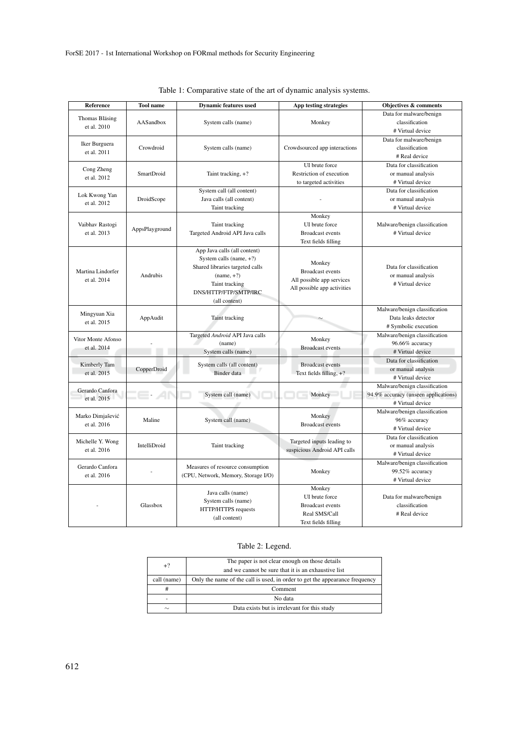| <b>Reference</b>               | <b>Tool</b> name | <b>Dynamic features used</b>        | App testing strategies        | Objectives & comments                             |  |
|--------------------------------|------------------|-------------------------------------|-------------------------------|---------------------------------------------------|--|
| Thomas Bläsing                 |                  |                                     |                               | Data for malware/benign                           |  |
| et al. 2010                    | AASandbox        | System calls (name)                 | Monkey                        | classification                                    |  |
|                                |                  |                                     |                               | # Virtual device                                  |  |
| Iker Burguera                  |                  |                                     |                               | Data for malware/benign                           |  |
| et al. 2011                    | Crowdroid        | System calls (name)                 | Crowdsourced app interactions | classification                                    |  |
|                                |                  |                                     |                               | # Real device                                     |  |
|                                |                  |                                     | UI brute force                | Data for classification                           |  |
| Cong Zheng                     | SmartDroid       | Taint tracking, +?                  | Restriction of execution      | or manual analysis                                |  |
| et al. 2012                    |                  |                                     | to targeted activities        | # Virtual device                                  |  |
|                                |                  | System call (all content)           |                               | Data for classification                           |  |
| Lok Kwong Yan                  | DroidScope       | Java calls (all content)            |                               | or manual analysis                                |  |
| et al. 2012                    |                  | Taint tracking                      |                               | # Virtual device                                  |  |
|                                |                  |                                     | Monkey                        |                                                   |  |
| Vaibhav Rastogi                | AppsPlayground   | Taint tracking                      | UI brute force                | Malware/benign classification<br># Virtual device |  |
| et al. 2013                    |                  | Targeted Android API Java calls     | <b>Broadcast</b> events       |                                                   |  |
|                                |                  |                                     | Text fields filling           |                                                   |  |
|                                |                  | App Java calls (all content)        |                               |                                                   |  |
|                                |                  | System calls (name, $+?)$           |                               |                                                   |  |
|                                |                  | Shared libraries targeted calls     | Monkey                        | Data for classification                           |  |
| Martina Lindorfer              | Andrubis         | $(name, +?)$                        | <b>Broadcast events</b>       | or manual analysis                                |  |
| et al. 2014                    |                  | Taint tracking                      | All possible app services     | # Virtual device                                  |  |
|                                |                  | DNS/HTTP/FTP/SMTP/IRC               | All possible app activities   |                                                   |  |
|                                |                  | (all content)                       |                               |                                                   |  |
|                                |                  |                                     |                               | Malware/benign classification                     |  |
| Mingyuan Xia                   | AppAudit         | Taint tracking                      |                               | Data leaks detector                               |  |
| et al. 2015                    |                  |                                     |                               | # Symbolic execution                              |  |
|                                |                  | Targeted Android API Java calls     |                               | Malware/benign classification                     |  |
| Vitor Monte Afonso             |                  | (name)                              | Monkey                        | 96.66% accuracy                                   |  |
| et al. 2014                    |                  | System calls (name)                 | <b>Broadcast events</b>       | # Virtual device                                  |  |
|                                |                  |                                     |                               | Data for classification                           |  |
| Kimberly Tam                   | CopperDroid      | System calls (all content)          | <b>Broadcast events</b>       | or manual analysis                                |  |
| et al. 2015                    |                  | Binder data                         | Text fields filling, $+$ ?    | # Virtual device                                  |  |
|                                |                  |                                     |                               | Malware/benign classification                     |  |
| Gerardo Canfora                |                  | System call (name)                  | Monkey                        | 94.9% accuracy (unseen applications)              |  |
| et al. 2015                    |                  |                                     |                               | # Virtual device                                  |  |
|                                |                  |                                     |                               | Malware/benign classification                     |  |
| Marko Dimjašević               | Maline           | System call (name)                  | Monkey                        | 96% accuracy                                      |  |
| et al. 2016                    |                  |                                     | <b>Broadcast events</b>       | # Virtual device                                  |  |
|                                |                  |                                     |                               | Data for classification                           |  |
| Michelle Y. Wong               | IntelliDroid     | Taint tracking                      | Targeted inputs leading to    | or manual analysis                                |  |
| et al. 2016                    |                  |                                     | suspicious Android API calls  | # Virtual device                                  |  |
| Gerardo Canfora<br>et al. 2016 |                  |                                     |                               | Malware/benign classification                     |  |
|                                |                  | Measures of resource consumption    |                               |                                                   |  |
|                                |                  | (CPU, Network, Memory, Storage I/O) | Monkey                        | 99.52% accuracy                                   |  |
|                                |                  |                                     |                               | # Virtual device                                  |  |
|                                |                  | Java calls (name)                   | Monkey<br>UI brute force      |                                                   |  |
|                                | Glassbox         | System calls (name)                 |                               | Data for malware/benign                           |  |
|                                |                  | HTTP/HTTPS requests                 | <b>Broadcast events</b>       | classification                                    |  |
|                                |                  | (all content)                       | Real SMS/Call                 | # Real device                                     |  |
|                                |                  |                                     | Text fields filling           |                                                   |  |

|  | Table 1: Comparative state of the art of dynamic analysis systems. |  |  |  |
|--|--------------------------------------------------------------------|--|--|--|
|  |                                                                    |  |  |  |
|  |                                                                    |  |  |  |
|  |                                                                    |  |  |  |

### Table 2: Legend.

| $+2$        | The paper is not clear enough on those details                              |  |  |
|-------------|-----------------------------------------------------------------------------|--|--|
|             | and we cannot be sure that it is an exhaustive list                         |  |  |
| call (name) | Only the name of the call is used, in order to get the appearance frequency |  |  |
| #           | Comment                                                                     |  |  |
| ٠           | No data                                                                     |  |  |
| $\sim$      | Data exists but is irrelevant for this study                                |  |  |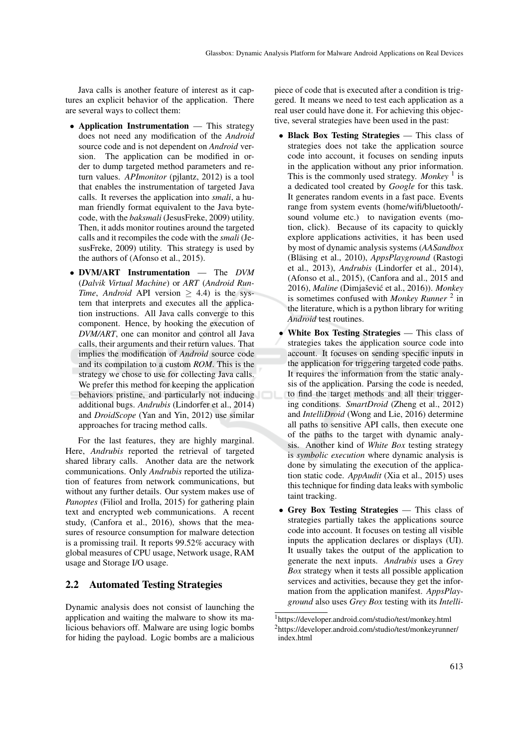Java calls is another feature of interest as it captures an explicit behavior of the application. There are several ways to collect them:

- Application Instrumentation This strategy does not need any modification of the *Android* source code and is not dependent on *Android* version. The application can be modified in order to dump targeted method parameters and return values. *APImonitor* (pjlantz, 2012) is a tool that enables the instrumentation of targeted Java calls. It reverses the application into *smali*, a human friendly format equivalent to the Java bytecode, with the *baksmali* (JesusFreke, 2009) utility. Then, it adds monitor routines around the targeted calls and it recompiles the code with the *smali* (JesusFreke, 2009) utility. This strategy is used by the authors of (Afonso et al., 2015).
- DVM/ART Instrumentation The *DVM* (*Dalvik Virtual Machine*) or *ART* (*Android Run-Time*, *Android* API version  $\geq$  4.4) is the system that interprets and executes all the application instructions. All Java calls converge to this component. Hence, by hooking the execution of *DVM/ART*, one can monitor and control all Java calls, their arguments and their return values. That implies the modification of *Android* source code and its compilation to a custom *ROM*. This is the strategy we chose to use for collecting Java calls. We prefer this method for keeping the application behaviors pristine, and particularly not inducing additional bugs. *Andrubis* (Lindorfer et al., 2014) and *DroidScope* (Yan and Yin, 2012) use similar approaches for tracing method calls.

For the last features, they are highly marginal. Here, *Andrubis* reported the retrieval of targeted shared library calls. Another data are the network communications. Only *Andrubis* reported the utilization of features from network communications, but without any further details. Our system makes use of *Panoptes* (Filiol and Irolla, 2015) for gathering plain text and encrypted web communications. A recent study, (Canfora et al., 2016), shows that the measures of resource consumption for malware detection is a promissing trail. It reports 99.52% accuracy with global measures of CPU usage, Network usage, RAM usage and Storage I/O usage.

#### 2.2 Automated Testing Strategies

Dynamic analysis does not consist of launching the application and waiting the malware to show its malicious behaviors off. Malware are using logic bombs for hiding the payload. Logic bombs are a malicious piece of code that is executed after a condition is triggered. It means we need to test each application as a real user could have done it. For achieving this objective, several strategies have been used in the past:

- Black Box Testing Strategies This class of strategies does not take the application source code into account, it focuses on sending inputs in the application without any prior information. This is the commonly used strategy. Monkey<sup>1</sup> is a dedicated tool created by *Google* for this task. It generates random events in a fast pace. Events range from system events (home/wifi/bluetooth/ sound volume etc.) to navigation events (motion, click). Because of its capacity to quickly explore applications activities, it has been used by most of dynamic analysis systems (*AASandbox* (Bläsing et al., 2010), *AppsPlayground* (Rastogi et al., 2013), *Andrubis* (Lindorfer et al., 2014), (Afonso et al., 2015), (Canfora and al., 2015 and 2016), *Maline* (Dimjašević et al., 2016)). Monkey is sometimes confused with *Monkey Runner*<sup>2</sup> in the literature, which is a python library for writing *Android* test routines.
- White Box Testing Strategies This class of strategies takes the application source code into account. It focuses on sending specific inputs in the application for triggering targeted code paths. It requires the information from the static analysis of the application. Parsing the code is needed, to find the target methods and all their triggering conditions. *SmartDroid* (Zheng et al., 2012) and *IntelliDroid* (Wong and Lie, 2016) determine all paths to sensitive API calls, then execute one of the paths to the target with dynamic analysis. Another kind of *White Box* testing strategy is *symbolic execution* where dynamic analysis is done by simulating the execution of the application static code. *AppAudit* (Xia et al., 2015) uses this technique for finding data leaks with symbolic taint tracking.
- Grey Box Testing Strategies This class of strategies partially takes the applications source code into account. It focuses on testing all visible inputs the application declares or displays (UI). It usually takes the output of the application to generate the next inputs. *Andrubis* uses a *Grey Box* strategy when it tests all possible application services and activities, because they get the information from the application manifest. *AppsPlayground* also uses *Grey Box* testing with its *Intelli-*

<sup>1</sup>https://developer.android.com/studio/test/monkey.html <sup>2</sup>https://developer.android.com/studio/test/monkeyrunner/ index.html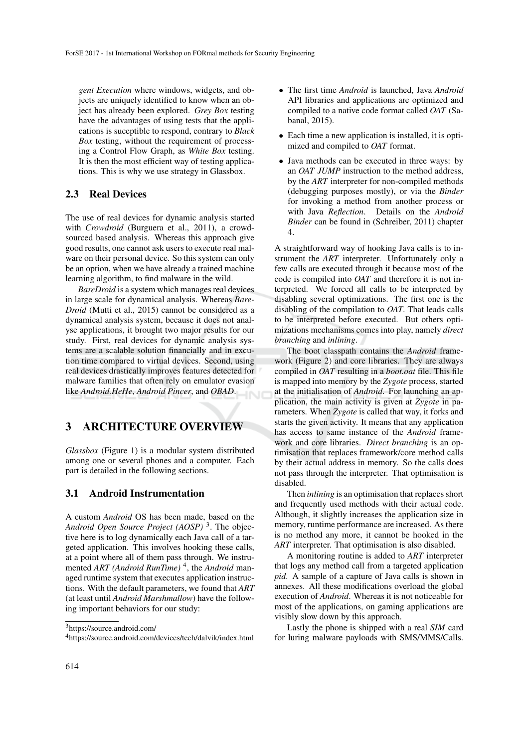*gent Execution* where windows, widgets, and objects are uniquely identified to know when an object has already been explored. *Grey Box* testing have the advantages of using tests that the applications is suceptible to respond, contrary to *Black Box* testing, without the requirement of processing a Control Flow Graph, as *White Box* testing. It is then the most efficient way of testing applications. This is why we use strategy in Glassbox.

#### 2.3 Real Devices

The use of real devices for dynamic analysis started with *Crowdroid* (Burguera et al., 2011), a crowdsourced based analysis. Whereas this approach give good results, one cannot ask users to execute real malware on their personal device. So this system can only be an option, when we have already a trained machine learning algorithm, to find malware in the wild.

*BareDroid* is a system which manages real devices in large scale for dynamical analysis. Whereas *Bare-Droid* (Mutti et al., 2015) cannot be considered as a dynamical analysis system, because it does not analyse applications, it brought two major results for our study. First, real devices for dynamic analysis systems are a scalable solution financially and in excution time compared to virtual devices. Second, using real devices drastically improves features detected for malware families that often rely on emulator evasion like *Android.HeHe*, *Android Pincer*, and *OBAD*.

## 3 ARCHITECTURE OVERVIEW

*Glassbox* (Figure 1) is a modular system distributed among one or several phones and a computer. Each part is detailed in the following sections.

#### 3.1 Android Instrumentation

A custom *Android* OS has been made, based on the *Android Open Source Project (AOSP)* <sup>3</sup> . The objective here is to log dynamically each Java call of a targeted application. This involves hooking these calls, at a point where all of them pass through. We instrumented *ART (Android RunTime)* <sup>4</sup> , the *Android* managed runtime system that executes application instructions. With the default parameters, we found that *ART* (at least until *Android Marshmallow*) have the following important behaviors for our study:

- The first time *Android* is launched, Java *Android* API libraries and applications are optimized and compiled to a native code format called *OAT* (Sabanal, 2015).
- Each time a new application is installed, it is optimized and compiled to *OAT* format.
- Java methods can be executed in three ways: by an *OAT JUMP* instruction to the method address, by the *ART* interpreter for non-compiled methods (debugging purposes mostly), or via the *Binder* for invoking a method from another process or with Java *Reflection*. Details on the *Android Binder* can be found in (Schreiber, 2011) chapter 4.

A straightforward way of hooking Java calls is to instrument the *ART* interpreter. Unfortunately only a few calls are executed through it because most of the code is compiled into *OAT* and therefore it is not interpreted. We forced all calls to be interpreted by disabling several optimizations. The first one is the disabling of the compilation to *OAT*. That leads calls to be interpreted before executed. But others optimizations mechanisms comes into play, namely *direct branching* and *inlining*.

The boot classpath contains the *Android* framework (Figure 2) and core libraries. They are always compiled in *OAT* resulting in a *boot.oat* file. This file is mapped into memory by the *Zygote* process, started at the initialisation of *Android*. For launching an application, the main activity is given at *Zygote* in parameters. When *Zygote* is called that way, it forks and starts the given activity. It means that any application has access to same instance of the *Android* framework and core libraries. *Direct branching* is an optimisation that replaces framework/core method calls by their actual address in memory. So the calls does not pass through the interpreter. That optimisation is disabled.

Then *inlining* is an optimisation that replaces short and frequently used methods with their actual code. Although, it slightly increases the application size in memory, runtime performance are increased. As there is no method any more, it cannot be hooked in the *ART* interpreter. That optimisation is also disabled.

A monitoring routine is added to *ART* interpreter that logs any method call from a targeted application *pid*. A sample of a capture of Java calls is shown in annexes. All these modifications overload the global execution of *Android*. Whereas it is not noticeable for most of the applications, on gaming applications are visibly slow down by this approach.

Lastly the phone is shipped with a real *SIM* card for luring malware payloads with SMS/MMS/Calls.

<sup>3</sup>https://source.android.com/

<sup>4</sup>https://source.android.com/devices/tech/dalvik/index.html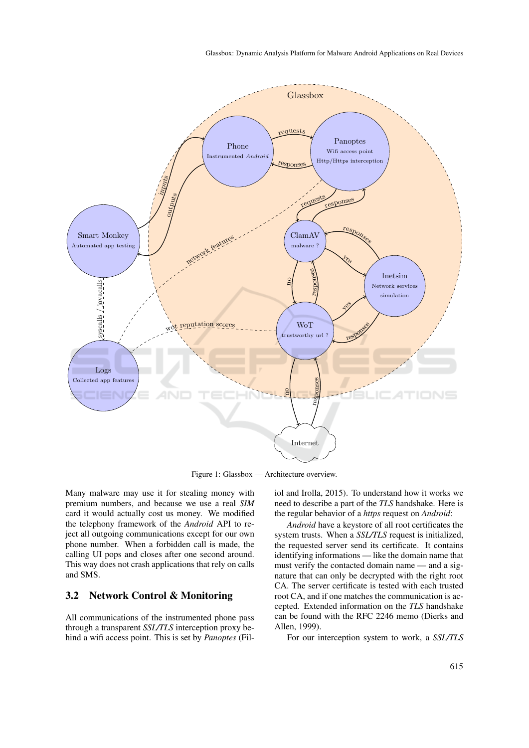

Figure 1: Glassbox — Architecture overview.

Many malware may use it for stealing money with premium numbers, and because we use a real *SIM* card it would actually cost us money. We modified the telephony framework of the *Android* API to reject all outgoing communications except for our own phone number. When a forbidden call is made, the calling UI pops and closes after one second around. This way does not crash applications that rely on calls and SMS.

#### 3.2 Network Control & Monitoring

All communications of the instrumented phone pass through a transparent *SSL/TLS* interception proxy behind a wifi access point. This is set by *Panoptes* (Filiol and Irolla, 2015). To understand how it works we need to describe a part of the *TLS* handshake. Here is the regular behavior of a *https* request on *Android*:

*Android* have a keystore of all root certificates the system trusts. When a *SSL/TLS* request is initialized, the requested server send its certificate. It contains identifying informations — like the domain name that must verify the contacted domain name — and a signature that can only be decrypted with the right root CA. The server certificate is tested with each trusted root CA, and if one matches the communication is accepted. Extended information on the *TLS* handshake can be found with the RFC 2246 memo (Dierks and Allen, 1999).

For our interception system to work, a *SSL/TLS*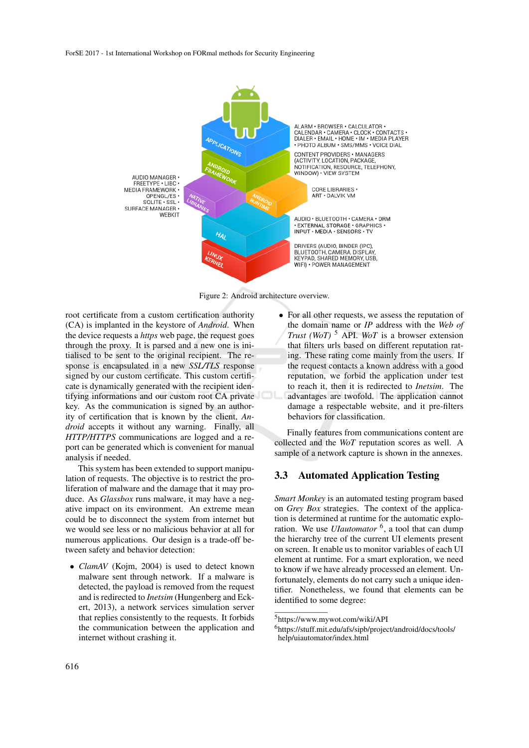

Figure 2: Android architecture overview.

root certificate from a custom certification authority (CA) is implanted in the keystore of *Android*. When the device requests a *https* web page, the request goes through the proxy. It is parsed and a new one is initialised to be sent to the original recipient. The response is encapsulated in a new *SSL/TLS* response signed by our custom certificate. This custom certificate is dynamically generated with the recipient identifying informations and our custom root CA private key. As the communication is signed by an authority of certification that is known by the client, *Android* accepts it without any warning. Finally, all *HTTP/HTTPS* communications are logged and a report can be generated which is convenient for manual analysis if needed.

This system has been extended to support manipulation of requests. The objective is to restrict the proliferation of malware and the damage that it may produce. As *Glassbox* runs malware, it may have a negative impact on its environment. An extreme mean could be to disconnect the system from internet but we would see less or no malicious behavior at all for numerous applications. Our design is a trade-off between safety and behavior detection:

• *ClamAV* (Kojm, 2004) is used to detect known malware sent through network. If a malware is detected, the payload is removed from the request and is redirected to *Inetsim* (Hungenberg and Eckert, 2013), a network services simulation server that replies consistently to the requests. It forbids the communication between the application and internet without crashing it.

• For all other requests, we assess the reputation of the domain name or *IP* address with the *Web of Trust (WoT)* <sup>5</sup> API. *WoT* is a browser extension that filters urls based on different reputation rating. These rating come mainly from the users. If the request contacts a known address with a good reputation, we forbid the application under test to reach it, then it is redirected to *Inetsim*. The advantages are twofold. The application cannot damage a respectable website, and it pre-filters behaviors for classification.

Finally features from communications content are collected and the *WoT* reputation scores as well. A sample of a network capture is shown in the annexes.

#### 3.3 Automated Application Testing

*Smart Monkey* is an automated testing program based on *Grey Box* strategies. The context of the application is determined at runtime for the automatic exploration. We use *UIautomator* <sup>6</sup>, a tool that can dump the hierarchy tree of the current UI elements present on screen. It enable us to monitor variables of each UI element at runtime. For a smart exploration, we need to know if we have already processed an element. Unfortunately, elements do not carry such a unique identifier. Nonetheless, we found that elements can be identified to some degree:

<sup>5</sup>https://www.mywot.com/wiki/API

<sup>6</sup>https://stuff.mit.edu/afs/sipb/project/android/docs/tools/ help/uiautomator/index.html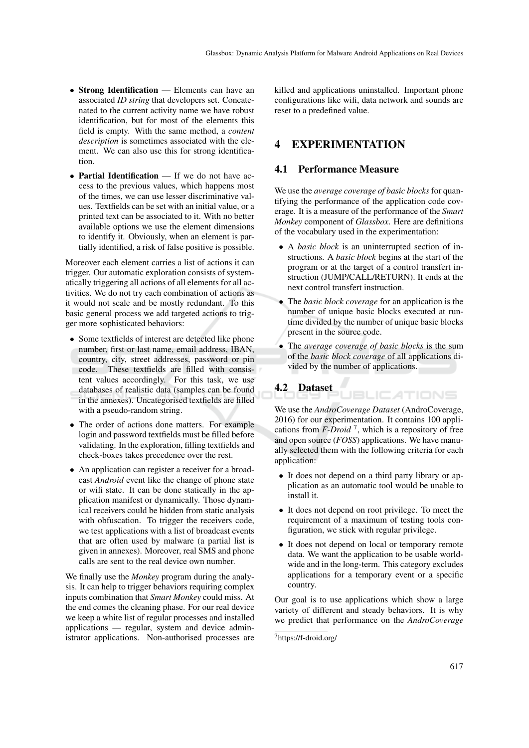- Strong Identification Elements can have an associated *ID string* that developers set. Concatenated to the current activity name we have robust identification, but for most of the elements this field is empty. With the same method, a *content description* is sometimes associated with the element. We can also use this for strong identification.
- Partial Identification If we do not have access to the previous values, which happens most of the times, we can use lesser discriminative values. Textfields can be set with an initial value, or a printed text can be associated to it. With no better available options we use the element dimensions to identify it. Obviously, when an element is partially identified, a risk of false positive is possible.

Moreover each element carries a list of actions it can trigger. Our automatic exploration consists of systematically triggering all actions of all elements for all activities. We do not try each combination of actions as it would not scale and be mostly redundant. To this basic general process we add targeted actions to trigger more sophisticated behaviors:

- Some textfields of interest are detected like phone number, first or last name, email address, IBAN, country, city, street addresses, password or pin code. These textfields are filled with consistent values accordingly. For this task, we use databases of realistic data (samples can be found in the annexes). Uncategorised textfields are filled with a pseudo-random string.
- The order of actions done matters. For example login and password textfields must be filled before validating. In the exploration, filling textfields and check-boxes takes precedence over the rest.
- An application can register a receiver for a broadcast *Android* event like the change of phone state or wifi state. It can be done statically in the application manifest or dynamically. Those dynamical receivers could be hidden from static analysis with obfuscation. To trigger the receivers code, we test applications with a list of broadcast events that are often used by malware (a partial list is given in annexes). Moreover, real SMS and phone calls are sent to the real device own number.

We finally use the *Monkey* program during the analysis. It can help to trigger behaviors requiring complex inputs combination that *Smart Monkey* could miss. At the end comes the cleaning phase. For our real device we keep a white list of regular processes and installed applications — regular, system and device administrator applications. Non-authorised processes are killed and applications uninstalled. Important phone configurations like wifi, data network and sounds are reset to a predefined value.

## 4 EXPERIMENTATION

#### 4.1 Performance Measure

We use the *average coverage of basic blocks* for quantifying the performance of the application code coverage. It is a measure of the performance of the *Smart Monkey* component of *Glassbox*. Here are definitions of the vocabulary used in the experimentation:

- A *basic block* is an uninterrupted section of instructions. A *basic block* begins at the start of the program or at the target of a control transfert instruction (JUMP/CALL/RETURN). It ends at the next control transfert instruction.
- The *basic block coverage* for an application is the number of unique basic blocks executed at runtime divided by the number of unique basic blocks present in the source code.
- The *average coverage of basic blocks* is the sum of the *basic block coverage* of all applications divided by the number of applications.

**JBLICATIONS** 

## 4.2 Dataset

We use the *AndroCoverage Dataset* (AndroCoverage, 2016) for our experimentation. It contains 100 applications from  $F\text{-}\text{Droid}^7$ , which is a repository of free and open source (*FOSS*) applications. We have manually selected them with the following criteria for each application:

- It does not depend on a third party library or application as an automatic tool would be unable to install it.
- It does not depend on root privilege. To meet the requirement of a maximum of testing tools configuration, we stick with regular privilege.
- It does not depend on local or temporary remote data. We want the application to be usable worldwide and in the long-term. This category excludes applications for a temporary event or a specific country.

Our goal is to use applications which show a large variety of different and steady behaviors. It is why we predict that performance on the *AndroCoverage*

<sup>7</sup>https://f-droid.org/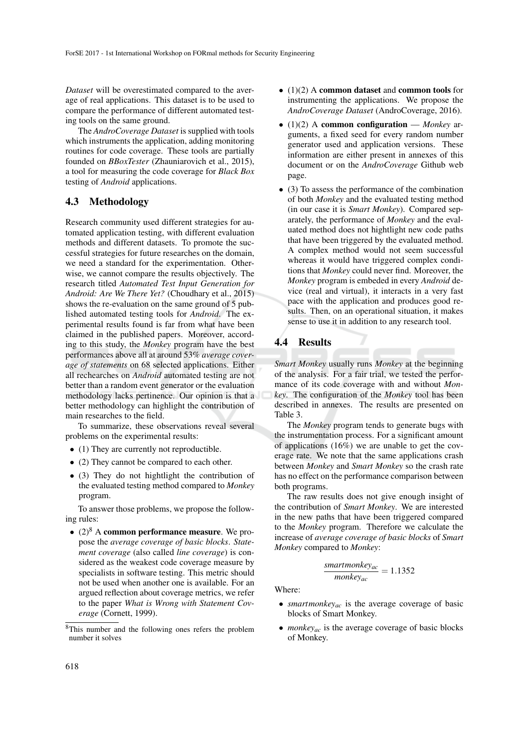*Dataset* will be overestimated compared to the average of real applications. This dataset is to be used to compare the performance of different automated testing tools on the same ground.

The *AndroCoverage Dataset* is supplied with tools which instruments the application, adding monitoring routines for code coverage. These tools are partially founded on *BBoxTester* (Zhauniarovich et al., 2015), a tool for measuring the code coverage for *Black Box* testing of *Android* applications.

#### 4.3 Methodology

Research community used different strategies for automated application testing, with different evaluation methods and different datasets. To promote the successful strategies for future researches on the domain, we need a standard for the experimentation. Otherwise, we cannot compare the results objectively. The research titled *Automated Test Input Generation for Android: Are We There Yet?* (Choudhary et al., 2015) shows the re-evaluation on the same ground of 5 published automated testing tools for *Android*. The experimental results found is far from what have been claimed in the published papers. Moreover, according to this study, the *Monkey* program have the best performances above all at around 53% *average coverage of statements* on 68 selected applications. Either all rechearches on *Android* automated testing are not better than a random event generator or the evaluation methodology lacks pertinence. Our opinion is that a better methodology can highlight the contribution of main researches to the field.

To summarize, these observations reveal several problems on the experimental results:

- (1) They are currently not reproductible.
- (2) They cannot be compared to each other.
- (3) They do not hightlight the contribution of the evaluated testing method compared to *Monkey* program.

To answer those problems, we propose the following rules:

•  $(2)^8$  A common performance measure. We propose the *average coverage of basic blocks*. *Statement coverage* (also called *line coverage*) is considered as the weakest code coverage measure by specialists in software testing. This metric should not be used when another one is available. For an argued reflection about coverage metrics, we refer to the paper *What is Wrong with Statement Coverage* (Cornett, 1999).

- (1)(2) A common dataset and common tools for instrumenting the applications. We propose the *AndroCoverage Dataset* (AndroCoverage, 2016).
- (1)(2) A common configuration *Monkey* arguments, a fixed seed for every random number generator used and application versions. These information are either present in annexes of this document or on the *AndroCoverage* Github web page.
- (3) To assess the performance of the combination of both *Monkey* and the evaluated testing method (in our case it is *Smart Monkey*). Compared separately, the performance of *Monkey* and the evaluated method does not hightlight new code paths that have been triggered by the evaluated method. A complex method would not seem successful whereas it would have triggered complex conditions that *Monkey* could never find. Moreover, the *Monkey* program is embeded in every *Android* device (real and virtual), it interacts in a very fast pace with the application and produces good results. Then, on an operational situation, it makes sense to use it in addition to any research tool.

#### 4.4 Results

*Smart Monkey* usually runs *Monkey* at the beginning of the analysis. For a fair trial, we tested the performance of its code coverage with and without *Monkey*. The configuration of the *Monkey* tool has been described in annexes. The results are presented on Table 3.

The *Monkey* program tends to generate bugs with the instrumentation process. For a significant amount of applications (16%) we are unable to get the coverage rate. We note that the same applications crash between *Monkey* and *Smart Monkey* so the crash rate has no effect on the performance comparison between both programs.

The raw results does not give enough insight of the contribution of *Smart Monkey*. We are interested in the new paths that have been triggered compared to the *Monkey* program. Therefore we calculate the increase of *average coverage of basic blocks* of *Smart Monkey* compared to *Monkey*:

$$
\frac{smartmonkey_{ac}}{monkey_{ac}} = 1.1352
$$

Where:

- *smartmonkey<sub>ac</sub>* is the average coverage of basic blocks of Smart Monkey.
- *monkey<sub>ac</sub>* is the average coverage of basic blocks of Monkey.

<sup>8</sup>This number and the following ones refers the problem number it solves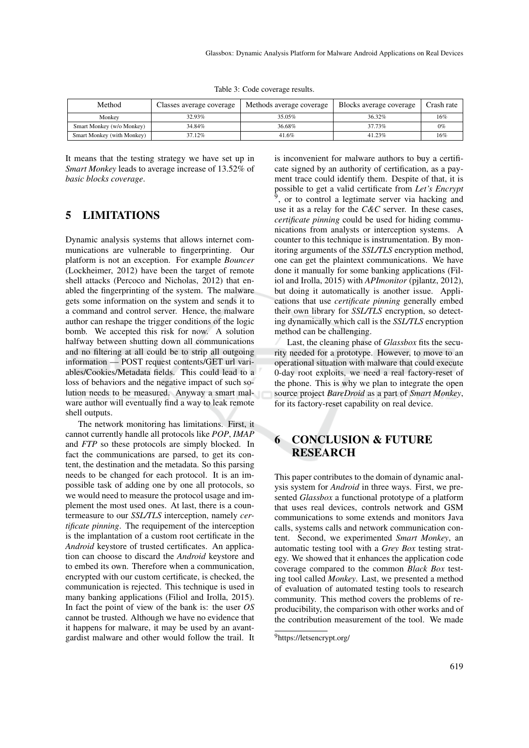Table 3: Code coverage results.

| Method                     | Classes average coverage | Methods average coverage | Blocks average coverage | Crash rate |
|----------------------------|--------------------------|--------------------------|-------------------------|------------|
| Monkey                     | 32.93%                   | 35.05%                   | 36.32%                  | 16%        |
| Smart Monkey (w/o Monkey)  | 34.84%                   | 36.68%                   | 37.73%                  | 0%         |
| Smart Monkey (with Monkey) | 37.12%                   | 41.6%                    | 41.23%                  | 16%        |

It means that the testing strategy we have set up in *Smart Monkey* leads to average increase of 13.52% of *basic blocks coverage*.

## 5 LIMITATIONS

Dynamic analysis systems that allows internet communications are vulnerable to fingerprinting. Our platform is not an exception. For example *Bouncer* (Lockheimer, 2012) have been the target of remote shell attacks (Percoco and Nicholas, 2012) that enabled the fingerprinting of the system. The malware gets some information on the system and sends it to a command and control server. Hence, the malware author can reshape the trigger conditions of the logic bomb. We accepted this risk for now. A solution halfway between shutting down all communications and no filtering at all could be to strip all outgoing information — POST request contents/GET url variables/Cookies/Metadata fields. This could lead to a loss of behaviors and the negative impact of such solution needs to be measured. Anyway a smart malware author will eventually find a way to leak remote shell outputs.

The network monitoring has limitations. First, it cannot currently handle all protocols like *POP*, *IMAP* and *FTP* so these protocols are simply blocked. In fact the communications are parsed, to get its content, the destination and the metadata. So this parsing needs to be changed for each protocol. It is an impossible task of adding one by one all protocols, so we would need to measure the protocol usage and implement the most used ones. At last, there is a countermeasure to our *SSL/TLS* interception, namely *certificate pinning*. The requipement of the interception is the implantation of a custom root certificate in the *Android* keystore of trusted certificates. An application can choose to discard the *Android* keystore and to embed its own. Therefore when a communication, encrypted with our custom certificate, is checked, the communication is rejected. This technique is used in many banking applications (Filiol and Irolla, 2015). In fact the point of view of the bank is: the user *OS* cannot be trusted. Although we have no evidence that it happens for malware, it may be used by an avantgardist malware and other would follow the trail. It is inconvenient for malware authors to buy a certificate signed by an authority of certification, as a payment trace could identify them. Despite of that, it is possible to get a valid certificate from *Let's Encrypt* <sup>9</sup>, or to control a legtimate server via hacking and use it as a relay for the *C&C* server. In these cases, *certificate pinning* could be used for hiding communications from analysts or interception systems. A counter to this technique is instrumentation. By monitoring arguments of the *SSL/TLS* encryption method, one can get the plaintext communications. We have done it manually for some banking applications (Filiol and Irolla, 2015) with *APImonitor* (pjlantz, 2012), but doing it automatically is another issue. Applications that use *certificate pinning* generally embed their own library for *SSL/TLS* encryption, so detecting dynamically which call is the *SSL/TLS* encryption method can be challenging.

Last, the cleaning phase of *Glassbox* fits the security needed for a prototype. However, to move to an operational situation with malware that could execute 0-day root exploits, we need a real factory-reset of the phone. This is why we plan to integrate the open source project *BareDroid* as a part of *Smart Monkey*, for its factory-reset capability on real device.

## 6 CONCLUSION & FUTURE RESEARCH

This paper contributes to the domain of dynamic analysis system for *Android* in three ways. First, we presented *Glassbox* a functional prototype of a platform that uses real devices, controls network and GSM communications to some extends and monitors Java calls, systems calls and network communication content. Second, we experimented *Smart Monkey*, an automatic testing tool with a *Grey Box* testing strategy. We showed that it enhances the application code coverage compared to the common *Black Box* testing tool called *Monkey*. Last, we presented a method of evaluation of automated testing tools to research community. This method covers the problems of reproducibility, the comparison with other works and of the contribution measurement of the tool. We made

<sup>9</sup>https://letsencrypt.org/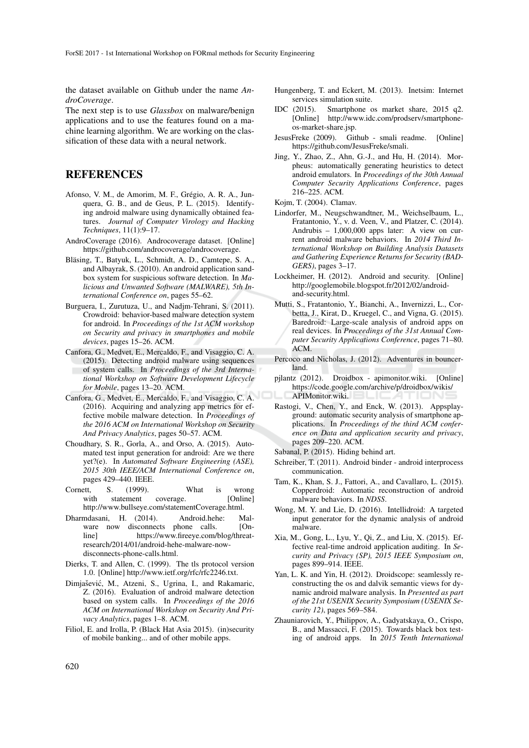the dataset available on Github under the name *AndroCoverage*.

The next step is to use *Glassbox* on malware/benign applications and to use the features found on a machine learning algorithm. We are working on the classification of these data with a neural network.

### **REFERENCES**

- Afonso, V. M., de Amorim, M. F., Grégio, A. R. A., Junquera, G. B., and de Geus, P. L. (2015). Identifying android malware using dynamically obtained features. *Journal of Computer Virology and Hacking Techniques*, 11(1):9–17.
- AndroCoverage (2016). Androcoverage dataset. [Online] https://github.com/androcoverage/androcoverage.
- Bläsing, T., Batyuk, L., Schmidt, A. D., Camtepe, S. A., and Albayrak, S. (2010). An android application sandbox system for suspicious software detection. In *Malicious and Unwanted Software (MALWARE), 5th International Conference on*, pages 55–62.
- Burguera, I., Zurutuza, U., and Nadjm-Tehrani, S. (2011). Crowdroid: behavior-based malware detection system for android. In *Proceedings of the 1st ACM workshop on Security and privacy in smartphones and mobile devices*, pages 15–26. ACM.
- Canfora, G., Medvet, E., Mercaldo, F., and Visaggio, C. A. (2015). Detecting android malware using sequences of system calls. In *Proceedings of the 3rd International Workshop on Software Development Lifecycle for Mobile*, pages 13–20. ACM.
- Canfora, G., Medvet, E., Mercaldo, F., and Visaggio, C. A. (2016). Acquiring and analyzing app metrics for effective mobile malware detection. In *Proceedings of the 2016 ACM on International Workshop on Security And Privacy Analytics*, pages 50–57. ACM.
- Choudhary, S. R., Gorla, A., and Orso, A. (2015). Automated test input generation for android: Are we there yet?(e). In *Automated Software Engineering (ASE), 2015 30th IEEE/ACM International Conference on*, pages 429–440. IEEE.
- Cornett, S. (1999). What is wrong<br>with statement coverage. [Online] statement coverage. http://www.bullseye.com/statementCoverage.html.
- Dharmdasani, H. (2014). Android.hehe: Malware now disconnects phone calls. [Online] https://www.fireeye.com/blog/threatresearch/2014/01/android-hehe-malware-nowdisconnects-phone-calls.html.
- Dierks, T. and Allen, C. (1999). The tls protocol version 1.0. [Online] http://www.ietf.org/rfc/rfc2246.txt.
- Dimjašević, M., Atzeni, S., Ugrina, I., and Rakamaric, Z. (2016). Evaluation of android malware detection based on system calls. In *Proceedings of the 2016 ACM on International Workshop on Security And Privacy Analytics*, pages 1–8. ACM.
- Filiol, E. and Irolla, P. (Black Hat Asia 2015). (in)security of mobile banking... and of other mobile apps.
- Hungenberg, T. and Eckert, M. (2013). Inetsim: Internet services simulation suite.
- IDC (2015). Smartphone os market share, 2015 q2. [Online] http://www.idc.com/prodserv/smartphoneos-market-share.jsp.
- JesusFreke (2009). Github smali readme. [Online] https://github.com/JesusFreke/smali.
- Jing, Y., Zhao, Z., Ahn, G.-J., and Hu, H. (2014). Morpheus: automatically generating heuristics to detect android emulators. In *Proceedings of the 30th Annual Computer Security Applications Conference*, pages 216–225. ACM.
- Kojm, T. (2004). Clamav.
- Lindorfer, M., Neugschwandtner, M., Weichselbaum, L., Fratantonio, Y., v. d. Veen, V., and Platzer, C. (2014). Andrubis – 1,000,000 apps later: A view on current android malware behaviors. In *2014 Third International Workshop on Building Analysis Datasets and Gathering Experience Returns for Security (BAD-GERS)*, pages 3–17.
- Lockheimer, H. (2012). Android and security. [Online] http://googlemobile.blogspot.fr/2012/02/androidand-security.html.
- Mutti, S., Fratantonio, Y., Bianchi, A., Invernizzi, L., Corbetta, J., Kirat, D., Kruegel, C., and Vigna, G. (2015). Baredroid: Large-scale analysis of android apps on real devices. In *Proceedings of the 31st Annual Computer Security Applications Conference*, pages 71–80. ACM.
- Percoco and Nicholas, J. (2012). Adventures in bouncerland.
- pjlantz (2012). Droidbox apimonitor.wiki. [Online] https://code.google.com/archive/p/droidbox/wikis/ APIMonitor.wiki.
- Rastogi, V., Chen, Y., and Enck, W. (2013). Appsplayground: automatic security analysis of smartphone applications. In *Proceedings of the third ACM conference on Data and application security and privacy*, pages 209–220. ACM.
- Sabanal, P. (2015). Hiding behind art.
- Schreiber, T. (2011). Android binder android interprocess communication.
- Tam, K., Khan, S. J., Fattori, A., and Cavallaro, L. (2015). Copperdroid: Automatic reconstruction of android malware behaviors. In *NDSS*.
- Wong, M. Y. and Lie, D. (2016). Intellidroid: A targeted input generator for the dynamic analysis of android malware.
- Xia, M., Gong, L., Lyu, Y., Qi, Z., and Liu, X. (2015). Effective real-time android application auditing. In *Security and Privacy (SP), 2015 IEEE Symposium on*, pages 899–914. IEEE.
- Yan, L. K. and Yin, H. (2012). Droidscope: seamlessly reconstructing the os and dalvik semantic views for dynamic android malware analysis. In *Presented as part of the 21st USENIX Security Symposium (USENIX Security 12)*, pages 569–584.
- Zhauniarovich, Y., Philippov, A., Gadyatskaya, O., Crispo, B., and Massacci, F. (2015). Towards black box testing of android apps. In *2015 Tenth International*